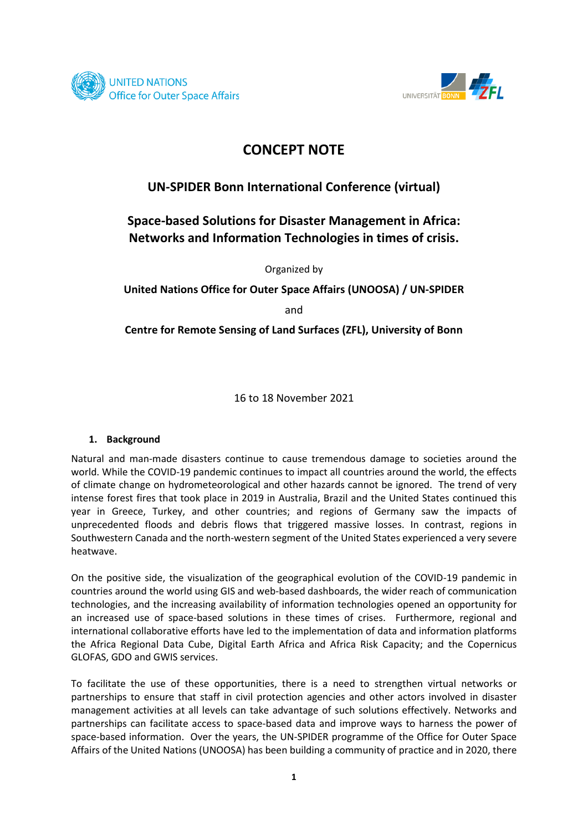



# **CONCEPT NOTE**

### **UN-SPIDER Bonn International Conference (virtual)**

## **Space-based Solutions for Disaster Management in Africa: Networks and Information Technologies in times of crisis.**

Organized by

**United Nations Office for Outer Space Affairs (UNOOSA) / UN-SPIDER**

and

**Centre for Remote Sensing of Land Surfaces (ZFL), University of Bonn**

16 to 18 November 2021

#### **1. Background**

Natural and man-made disasters continue to cause tremendous damage to societies around the world. While the COVID-19 pandemic continues to impact all countries around the world, the effects of climate change on hydrometeorological and other hazards cannot be ignored. The trend of very intense forest fires that took place in 2019 in Australia, Brazil and the United States continued this year in Greece, Turkey, and other countries; and regions of Germany saw the impacts of unprecedented floods and debris flows that triggered massive losses. In contrast, regions in Southwestern Canada and the north-western segment of the United States experienced a very severe heatwave.

On the positive side, the visualization of the geographical evolution of the COVID-19 pandemic in countries around the world using GIS and web-based dashboards, the wider reach of communication technologies, and the increasing availability of information technologies opened an opportunity for an increased use of space-based solutions in these times of crises. Furthermore, regional and international collaborative efforts have led to the implementation of data and information platforms the Africa Regional Data Cube, Digital Earth Africa and Africa Risk Capacity; and the Copernicus GLOFAS, GDO and GWIS services.

To facilitate the use of these opportunities, there is a need to strengthen virtual networks or partnerships to ensure that staff in civil protection agencies and other actors involved in disaster management activities at all levels can take advantage of such solutions effectively. Networks and partnerships can facilitate access to space-based data and improve ways to harness the power of space-based information. Over the years, the UN-SPIDER programme of the Office for Outer Space Affairs of the United Nations (UNOOSA) has been building a community of practice and in 2020, there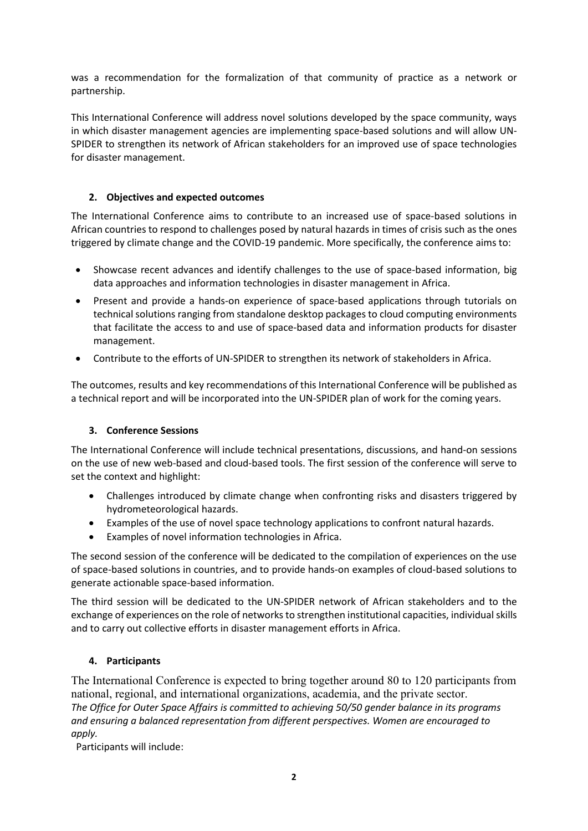was a recommendation for the formalization of that community of practice as a network or partnership.

This International Conference will address novel solutions developed by the space community, ways in which disaster management agencies are implementing space-based solutions and will allow UN-SPIDER to strengthen its network of African stakeholders for an improved use of space technologies for disaster management.

### **2. Objectives and expected outcomes**

The International Conference aims to contribute to an increased use of space-based solutions in African countries to respond to challenges posed by natural hazards in times of crisis such as the ones triggered by climate change and the COVID-19 pandemic. More specifically, the conference aims to:

- Showcase recent advances and identify challenges to the use of space-based information, big data approaches and information technologies in disaster management in Africa.
- Present and provide a hands-on experience of space-based applications through tutorials on technical solutions ranging from standalone desktop packages to cloud computing environments that facilitate the access to and use of space-based data and information products for disaster management.
- Contribute to the efforts of UN-SPIDER to strengthen its network of stakeholders in Africa.

The outcomes, results and key recommendations of this International Conference will be published as a technical report and will be incorporated into the UN-SPIDER plan of work for the coming years.

#### **3. Conference Sessions**

The International Conference will include technical presentations, discussions, and hand-on sessions on the use of new web-based and cloud-based tools. The first session of the conference will serve to set the context and highlight:

- Challenges introduced by climate change when confronting risks and disasters triggered by hydrometeorological hazards.
- Examples of the use of novel space technology applications to confront natural hazards.
- Examples of novel information technologies in Africa.

The second session of the conference will be dedicated to the compilation of experiences on the use of space-based solutions in countries, and to provide hands-on examples of cloud-based solutions to generate actionable space-based information.

The third session will be dedicated to the UN-SPIDER network of African stakeholders and to the exchange of experiences on the role of networksto strengthen institutional capacities, individual skills and to carry out collective efforts in disaster management efforts in Africa.

#### **4. Participants**

The International Conference is expected to bring together around 80 to 120 participants from national, regional, and international organizations, academia, and the private sector. *The Office for Outer Space Affairs is committed to achieving 50/50 gender balance in its programs and ensuring a balanced representation from different perspectives. Women are encouraged to apply.* 

Participants will include: